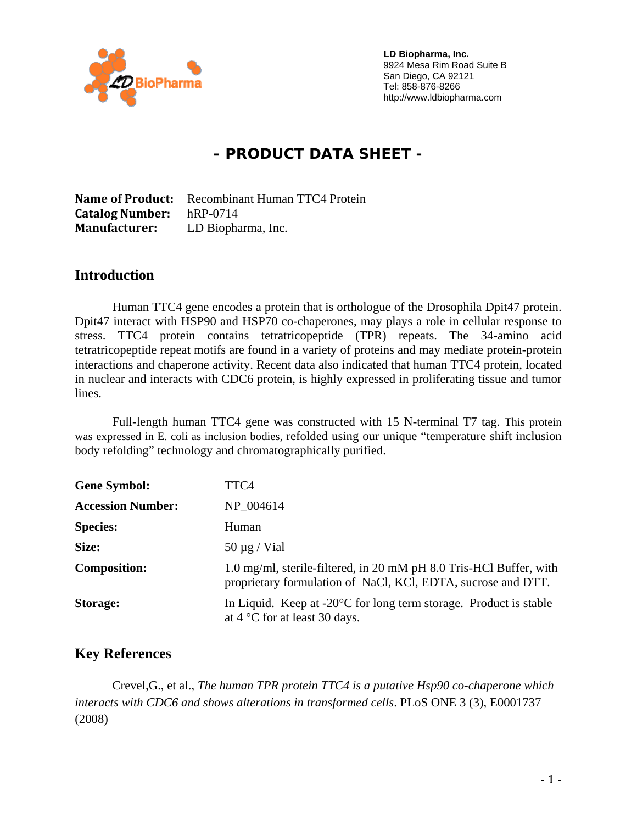

 **LD Biopharma, Inc. LD Biopharma, Inc.**  9924 Mesa Rim Road Suite B San Diego, CA 92121 San Diego, CA 92121 Tel: 858-876-8266 Tel: 858-876-8266 Fax: 858-638-0488 http://www.ldbiopharma.com http://www.ldbiopharma.com

# **- PRODUCT DATA SHEET -**

**Name of Product:** Recombinant Human TTC4 Protein **Catalog Number:** hRP-0714 **Manufacturer:** LD Biopharma, Inc.

#### **Introduction**

Human TTC4 gene encodes a protein that is orthologue of the Drosophila Dpit47 protein. Dpit47 interact with HSP90 and HSP70 co-chaperones, may plays a role in cellular response to stress. TTC4 protein contains tetratricopeptide (TPR) repeats. The 34-amino acid tetratricopeptide repeat motifs are found in a variety of proteins and may mediate protein-protein interactions and chaperone activity. Recent data also indicated that human TTC4 protein, located in nuclear and interacts with CDC6 protein, is highly expressed in proliferating tissue and tumor lines.

Full-length human TTC4 gene was constructed with 15 N-terminal T7 tag. This protein was expressed in E. coli as inclusion bodies, refolded using our unique "temperature shift inclusion body refolding" technology and chromatographically purified.

| <b>Gene Symbol:</b>      | TTC4                                                                                                                               |
|--------------------------|------------------------------------------------------------------------------------------------------------------------------------|
| <b>Accession Number:</b> | NP 004614                                                                                                                          |
| <b>Species:</b>          | Human                                                                                                                              |
| Size:                    | $50 \mu g$ / Vial                                                                                                                  |
| <b>Composition:</b>      | 1.0 mg/ml, sterile-filtered, in 20 mM pH 8.0 Tris-HCl Buffer, with<br>proprietary formulation of NaCl, KCl, EDTA, sucrose and DTT. |
| <b>Storage:</b>          | In Liquid. Keep at $-20^{\circ}$ C for long term storage. Product is stable<br>at $4^{\circ}$ C for at least 30 days.              |

#### **Key References**

 Crevel,G., et al., *The human TPR protein TTC4 is a putative Hsp90 co-chaperone which interacts with CDC6 and shows alterations in transformed cells*. PLoS ONE 3 (3), E0001737 (2008)